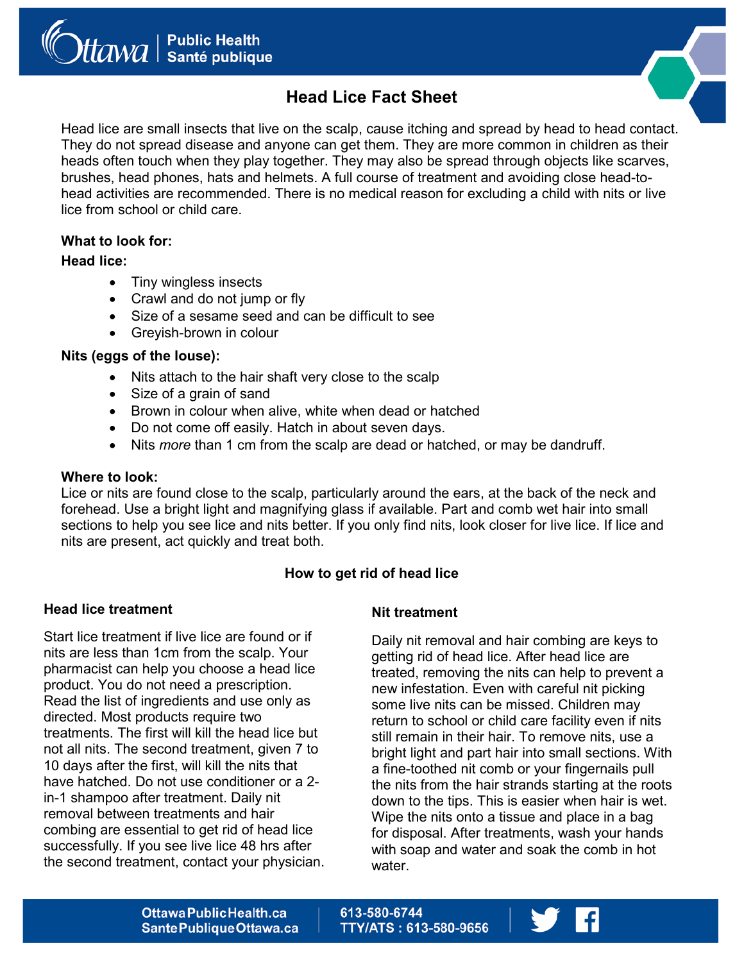



# **Head Lice Fact Sheet**

Head lice are small insects that live on the scalp, cause itching and spread by head to head contact. They do not spread disease and anyone can get them. They are more common in children as their heads often touch when they play together. They may also be spread through objects like scarves, brushes, head phones, hats and helmets. A full course of treatment and avoiding close head-tohead activities are recommended. There is no medical reason for excluding a child with nits or live lice from school or child care.

# **What to look for:**

# **Head lice:**

- Tiny wingless insects
- Crawl and do not jump or fly
- Size of a sesame seed and can be difficult to see
- Greyish-brown in colour

# **Nits (eggs of the louse):**

- Nits attach to the hair shaft very close to the scalp
- Size of a grain of sand
- Brown in colour when alive, white when dead or hatched
- Do not come off easily. Hatch in about seven days.
- Nits *more* than 1 cm from the scalp are dead or hatched, or may be dandruff.

## **Where to look:**

Lice or nits are found close to the scalp, particularly around the ears, at the back of the neck and forehead. Use a bright light and magnifying glass if available. Part and comb wet hair into small sections to help you see lice and nits better. If you only find nits, look closer for live lice. If lice and nits are present, act quickly and treat both.

# **How to get rid of head lice**

## **Head lice treatment**

Start lice treatment if live lice are found or if nits are less than 1cm from the scalp. Your pharmacist can help you choose a head lice product. You do not need a prescription. Read the list of ingredients and use only as directed. Most products require two treatments. The first will kill the head lice but not all nits. The second treatment, given 7 to 10 days after the first, will kill the nits that have hatched. Do not use conditioner or a 2 in-1 shampoo after treatment. Daily nit removal between treatments and hair combing are essential to get rid of head lice successfully. If you see live lice 48 hrs after the second treatment, contact your physician.

## **Nit treatment**

Daily nit removal and hair combing are keys to getting rid of head lice. After head lice are treated, removing the nits can help to prevent a new infestation. Even with careful nit picking some live nits can be missed. Children may return to school or child care facility even if nits still remain in their hair. To remove nits, use a bright light and part hair into small sections. With a fine-toothed nit comb or your fingernails pull the nits from the hair strands starting at the roots down to the tips. This is easier when hair is wet. Wipe the nits onto a tissue and place in a bag for disposal. After treatments, wash your hands with soap and water and soak the comb in hot water.

613-580-6744 **TTY/ATS: 613-580-9656**